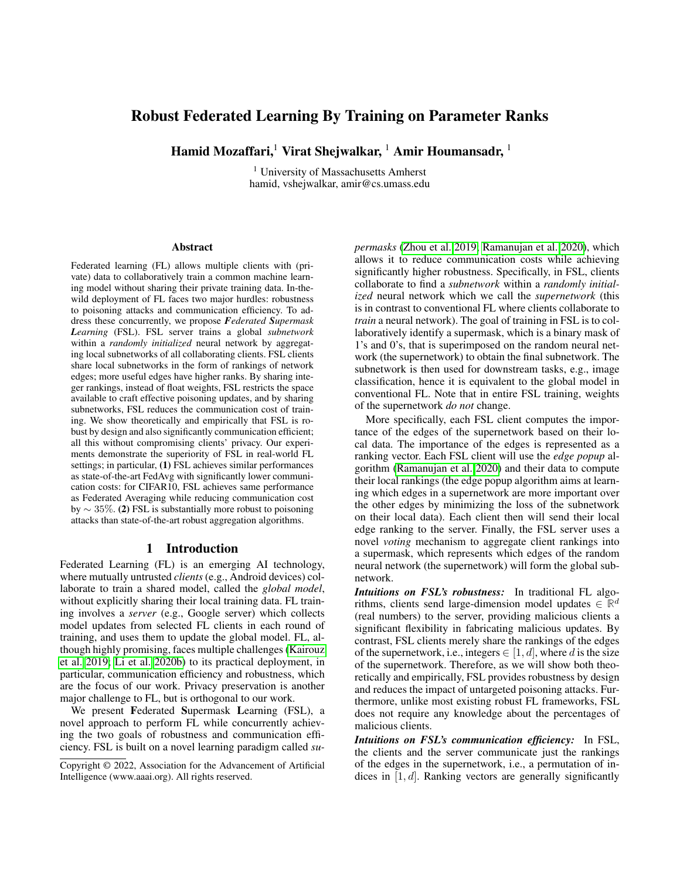# Robust Federated Learning By Training on Parameter Ranks

Hamid Mozaffari,<sup>1</sup> Virat Shejwalkar, <sup>1</sup> Amir Houmansadr, <sup>1</sup>

<sup>1</sup> University of Massachusetts Amherst hamid, vshejwalkar, amir@cs.umass.edu

#### Abstract

Federated learning (FL) allows multiple clients with (private) data to collaboratively train a common machine learning model without sharing their private training data. In-thewild deployment of FL faces two major hurdles: robustness to poisoning attacks and communication efficiency. To address these concurrently, we propose *Federated Supermask Learning* (FSL). FSL server trains a global *subnetwork* within a *randomly initialized* neural network by aggregating local subnetworks of all collaborating clients. FSL clients share local subnetworks in the form of rankings of network edges; more useful edges have higher ranks. By sharing integer rankings, instead of float weights, FSL restricts the space available to craft effective poisoning updates, and by sharing subnetworks, FSL reduces the communication cost of training. We show theoretically and empirically that FSL is robust by design and also significantly communication efficient; all this without compromising clients' privacy. Our experiments demonstrate the superiority of FSL in real-world FL settings; in particular, (1) FSL achieves similar performances as state-of-the-art FedAvg with significantly lower communication costs: for CIFAR10, FSL achieves same performance as Federated Averaging while reducing communication cost by  $\sim$  35%. (2) FSL is substantially more robust to poisoning attacks than state-of-the-art robust aggregation algorithms.

### 1 Introduction

Federated Learning (FL) is an emerging AI technology, where mutually untrusted *clients* (e.g., Android devices) collaborate to train a shared model, called the *global model*, without explicitly sharing their local training data. FL training involves a *server* (e.g., Google server) which collects model updates from selected FL clients in each round of training, and uses them to update the global model. FL, although highly promising, faces multiple challenges [\(Kairouz](#page-7-0) [et al. 2019;](#page-7-0) [Li et al. 2020b\)](#page-8-0) to its practical deployment, in particular, communication efficiency and robustness, which are the focus of our work. Privacy preservation is another major challenge to FL, but is orthogonal to our work.

We present Federated Supermask Learning (FSL), a novel approach to perform FL while concurrently achieving the two goals of robustness and communication efficiency. FSL is built on a novel learning paradigm called *su-* *permasks* [\(Zhou et al. 2019;](#page-8-1) [Ramanujan et al. 2020\)](#page-8-2), which allows it to reduce communication costs while achieving significantly higher robustness. Specifically, in FSL, clients collaborate to find a *subnetwork* within a *randomly initialized* neural network which we call the *supernetwork* (this is in contrast to conventional FL where clients collaborate to *train* a neural network). The goal of training in FSL is to collaboratively identify a supermask, which is a binary mask of 1's and 0's, that is superimposed on the random neural network (the supernetwork) to obtain the final subnetwork. The subnetwork is then used for downstream tasks, e.g., image classification, hence it is equivalent to the global model in conventional FL. Note that in entire FSL training, weights of the supernetwork *do not* change.

More specifically, each FSL client computes the importance of the edges of the supernetwork based on their local data. The importance of the edges is represented as a ranking vector. Each FSL client will use the *edge popup* algorithm [\(Ramanujan et al. 2020\)](#page-8-2) and their data to compute their local rankings (the edge popup algorithm aims at learning which edges in a supernetwork are more important over the other edges by minimizing the loss of the subnetwork on their local data). Each client then will send their local edge ranking to the server. Finally, the FSL server uses a novel *voting* mechanism to aggregate client rankings into a supermask, which represents which edges of the random neural network (the supernetwork) will form the global subnetwork.

*Intuitions on FSL's robustness:* In traditional FL algorithms, clients send large-dimension model updates  $\in \mathbb{R}^d$ (real numbers) to the server, providing malicious clients a significant flexibility in fabricating malicious updates. By contrast, FSL clients merely share the rankings of the edges of the supernetwork, i.e., integers  $\in [1, d]$ , where d is the size of the supernetwork. Therefore, as we will show both theoretically and empirically, FSL provides robustness by design and reduces the impact of untargeted poisoning attacks. Furthermore, unlike most existing robust FL frameworks, FSL does not require any knowledge about the percentages of malicious clients.

*Intuitions on FSL's communication efficiency:* In FSL, the clients and the server communicate just the rankings of the edges in the supernetwork, i.e., a permutation of indices in  $[1, d]$ . Ranking vectors are generally significantly

Copyright © 2022, Association for the Advancement of Artificial Intelligence (www.aaai.org). All rights reserved.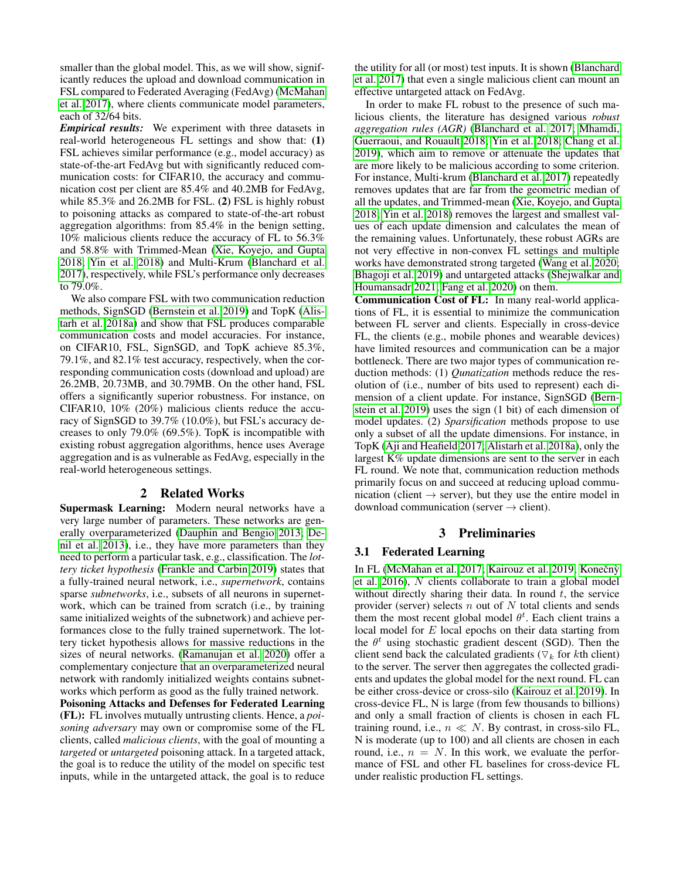smaller than the global model. This, as we will show, significantly reduces the upload and download communication in FSL compared to Federated Averaging (FedAvg) [\(McMahan](#page-8-3) [et al. 2017\)](#page-8-3), where clients communicate model parameters, each of 32/64 bits.

*Empirical results:* We experiment with three datasets in real-world heterogeneous FL settings and show that: (1) FSL achieves similar performance (e.g., model accuracy) as state-of-the-art FedAvg but with significantly reduced communication costs: for CIFAR10, the accuracy and communication cost per client are 85.4% and 40.2MB for FedAvg, while 85.3% and 26.2MB for FSL. (2) FSL is highly robust to poisoning attacks as compared to state-of-the-art robust aggregation algorithms: from 85.4% in the benign setting, 10% malicious clients reduce the accuracy of FL to 56.3% and 58.8% with Trimmed-Mean [\(Xie, Koyejo, and Gupta](#page-8-4) [2018;](#page-8-4) [Yin et al. 2018\)](#page-8-5) and Multi-Krum [\(Blanchard et al.](#page-7-1) [2017\)](#page-7-1), respectively, while FSL's performance only decreases to 79.0%.

We also compare FSL with two communication reduction methods, SignSGD [\(Bernstein et al. 2019\)](#page-7-2) and TopK [\(Alis](#page-7-3)[tarh et al. 2018a\)](#page-7-3) and show that FSL produces comparable communication costs and model accuracies. For instance, on CIFAR10, FSL, SignSGD, and TopK achieve 85.3%, 79.1%, and 82.1% test accuracy, respectively, when the corresponding communication costs (download and upload) are 26.2MB, 20.73MB, and 30.79MB. On the other hand, FSL offers a significantly superior robustness. For instance, on CIFAR10, 10% (20%) malicious clients reduce the accuracy of SignSGD to 39.7% (10.0%), but FSL's accuracy decreases to only 79.0% (69.5%). TopK is incompatible with existing robust aggregation algorithms, hence uses Average aggregation and is as vulnerable as FedAvg, especially in the real-world heterogeneous settings.

# 2 Related Works

Supermask Learning: Modern neural networks have a very large number of parameters. These networks are generally overparameterized [\(Dauphin and Bengio 2013;](#page-7-4) [De](#page-7-5)[nil et al. 2013\)](#page-7-5), i.e., they have more parameters than they need to perform a particular task, e.g., classification. The *lottery ticket hypothesis* [\(Frankle and Carbin 2019\)](#page-7-6) states that a fully-trained neural network, i.e., *supernetwork*, contains sparse *subnetworks*, i.e., subsets of all neurons in supernetwork, which can be trained from scratch (i.e., by training same initialized weights of the subnetwork) and achieve performances close to the fully trained supernetwork. The lottery ticket hypothesis allows for massive reductions in the sizes of neural networks. [\(Ramanujan et al. 2020\)](#page-8-2) offer a complementary conjecture that an overparameterized neural network with randomly initialized weights contains subnetworks which perform as good as the fully trained network.

Poisoning Attacks and Defenses for Federated Learning (FL): FL involves mutually untrusting clients. Hence, a *poisoning adversary* may own or compromise some of the FL clients, called *malicious clients*, with the goal of mounting a *targeted* or *untargeted* poisoning attack. In a targeted attack, the goal is to reduce the utility of the model on specific test inputs, while in the untargeted attack, the goal is to reduce

the utility for all (or most) test inputs. It is shown [\(Blanchard](#page-7-1) [et al. 2017\)](#page-7-1) that even a single malicious client can mount an effective untargeted attack on FedAvg.

In order to make FL robust to the presence of such malicious clients, the literature has designed various *robust aggregation rules (AGR)* [\(Blanchard et al. 2017;](#page-7-1) [Mhamdi,](#page-8-6) [Guerraoui, and Rouault 2018;](#page-8-6) [Yin et al. 2018;](#page-8-5) [Chang et al.](#page-7-7) [2019\)](#page-7-7), which aim to remove or attenuate the updates that are more likely to be malicious according to some criterion. For instance, Multi-krum [\(Blanchard et al. 2017\)](#page-7-1) repeatedly removes updates that are far from the geometric median of all the updates, and Trimmed-mean [\(Xie, Koyejo, and Gupta](#page-8-4) [2018;](#page-8-4) [Yin et al. 2018\)](#page-8-5) removes the largest and smallest values of each update dimension and calculates the mean of the remaining values. Unfortunately, these robust AGRs are not very effective in non-convex FL settings and multiple works have demonstrated strong targeted [\(Wang et al. 2020;](#page-8-7) [Bhagoji et al. 2019\)](#page-7-8) and untargeted attacks [\(Shejwalkar and](#page-8-8) [Houmansadr 2021;](#page-8-8) [Fang et al. 2020\)](#page-7-9) on them.

Communication Cost of FL: In many real-world applications of FL, it is essential to minimize the communication between FL server and clients. Especially in cross-device FL, the clients (e.g., mobile phones and wearable devices) have limited resources and communication can be a major bottleneck. There are two major types of communication reduction methods: (1) *Qunatization* methods reduce the resolution of (i.e., number of bits used to represent) each dimension of a client update. For instance, SignSGD [\(Bern](#page-7-2)[stein et al. 2019\)](#page-7-2) uses the sign (1 bit) of each dimension of model updates. (2) *Sparsification* methods propose to use only a subset of all the update dimensions. For instance, in TopK [\(Aji and Heafield 2017;](#page-6-0) [Alistarh et al. 2018a\)](#page-7-3), only the largest  $K\%$  update dimensions are sent to the server in each FL round. We note that, communication reduction methods primarily focus on and succeed at reducing upload communication (client  $\rightarrow$  server), but they use the entire model in download communication (server  $\rightarrow$  client).

### 3 Preliminaries

### 3.1 Federated Learning

In FL [\(McMahan et al. 2017;](#page-8-3) [Kairouz et al. 2019;](#page-7-0) Konečný [et al. 2016\)](#page-7-10), N clients collaborate to train a global model without directly sharing their data. In round  $t$ , the service provider (server) selects  $n$  out of  $N$  total clients and sends them the most recent global model  $\theta^t$ . Each client trains a local model for E local epochs on their data starting from the  $\theta^t$  using stochastic gradient descent (SGD). Then the client send back the calculated gradients ( $\nabla_k$  for kth client) to the server. The server then aggregates the collected gradients and updates the global model for the next round. FL can be either cross-device or cross-silo [\(Kairouz et al. 2019\)](#page-7-0). In cross-device FL, N is large (from few thousands to billions) and only a small fraction of clients is chosen in each FL training round, i.e.,  $n \ll N$ . By contrast, in cross-silo FL, N is moderate (up to 100) and all clients are chosen in each round, i.e.,  $n = N$ . In this work, we evaluate the performance of FSL and other FL baselines for cross-device FL under realistic production FL settings.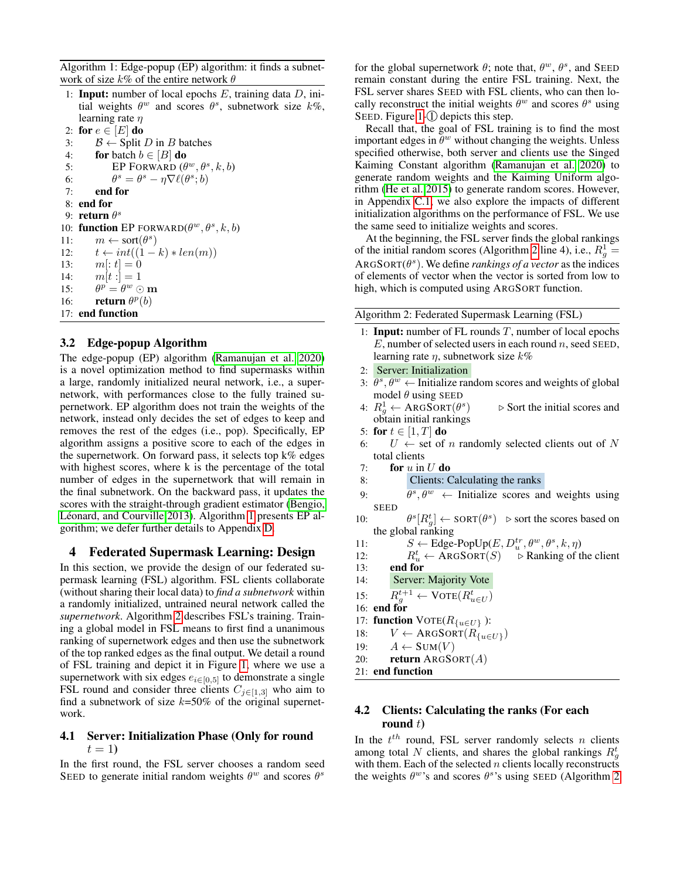<span id="page-2-0"></span>Algorithm 1: Edge-popup (EP) algorithm: it finds a subnetwork of size  $k\%$  of the entire network  $\theta$ 

1: **Input:** number of local epochs  $E$ , training data  $D$ , initial weights  $\theta^w$  and scores  $\theta^s$ , subnetwork size  $k\%$ , learning rate  $\eta$ 

2: for  $e \in [E]$  do

3:  $B \leftarrow$  Split *D* in *B* batches

```
4: for batch b \in [B] do
```
- 5: EP FORWARD  $(\theta^w, \theta^s, k, b)$
- 6: θ  $s = \theta^s - \eta \nabla \ell(\theta^s; b)$
- 7: end for
- 8: end for
- 9: **return**  $\theta^s$

10: function EP FORWARD $(\theta^w, \theta^s, k, b)$ 11:  $m \leftarrow sort(\theta^s)$ 12:  $t \leftarrow int((1-k) * len(m))$ 13:  $m[:t] = 0$ 14:  $m[t:] = 1$ 15:  $p = \theta^w \odot \mathbf{m}$ 16: **return**  $\theta^p(b)$ 17: end function

# 3.2 Edge-popup Algorithm

The edge-popup (EP) algorithm [\(Ramanujan et al. 2020\)](#page-8-2) is a novel optimization method to find supermasks within a large, randomly initialized neural network, i.e., a supernetwork, with performances close to the fully trained supernetwork. EP algorithm does not train the weights of the network, instead only decides the set of edges to keep and removes the rest of the edges (i.e., pop). Specifically, EP algorithm assigns a positive score to each of the edges in the supernetwork. On forward pass, it selects top  $k\%$  edges with highest scores, where k is the percentage of the total number of edges in the supernetwork that will remain in the final subnetwork. On the backward pass, it updates the scores with the straight-through gradient estimator [\(Bengio,](#page-7-11) Léonard, and Courville 2013). Algorithm [1](#page-2-0) presents EP algorithm; we defer further details to Appendix [D.](#page-11-0)

# 4 Federated Supermask Learning: Design

In this section, we provide the design of our federated supermask learning (FSL) algorithm. FSL clients collaborate (without sharing their local data) to *find a subnetwork* within a randomly initialized, untrained neural network called the *supernetwork*. Algorithm [2](#page-2-1) describes FSL's training. Training a global model in FSL means to first find a unanimous ranking of supernetwork edges and then use the subnetwork of the top ranked edges as the final output. We detail a round of FSL training and depict it in Figure [1,](#page-4-0) where we use a supernetwork with six edges  $e_{i\in[0,5]}$  to demonstrate a single FSL round and consider three clients  $C_{j\in[1,3]}$  who aim to find a subnetwork of size  $k=50\%$  of the original supernetwork.

### 4.1 Server: Initialization Phase (Only for round  $t=1$

In the first round, the FSL server chooses a random seed SEED to generate initial random weights  $\theta^w$  and scores  $\theta^s$ 

for the global supernetwork  $\theta$ ; note that,  $\theta^w$ ,  $\theta^s$ , and SEED remain constant during the entire FSL training. Next, the FSL server shares SEED with FSL clients, who can then locally reconstruct the initial weights  $\theta^w$  and scores  $\theta^s$  using SEED. Figure  $1-\bigcirc$  depicts this step.

Recall that, the goal of FSL training is to find the most important edges in  $\theta^w$  without changing the weights. Unless specified otherwise, both server and clients use the Singed Kaiming Constant algorithm [\(Ramanujan et al. 2020\)](#page-8-2) to generate random weights and the Kaiming Uniform algorithm [\(He et al. 2015\)](#page-7-12) to generate random scores. However, in Appendix [C.1,](#page-11-1) we also explore the impacts of different initialization algorithms on the performance of FSL. We use the same seed to initialize weights and scores.

At the beginning, the FSL server finds the global rankings of the initial random scores (Algorithm [2](#page-2-1) line 4), i.e.,  $R_g^1$  =  $\text{ARGSORT}(\theta^s)$ . We define *rankings of a vector* as the indices of elements of vector when the vector is sorted from low to high, which is computed using ARGSORT function.

<span id="page-2-1"></span>Algorithm 2: Federated Supermask Learning (FSL)

- 1: **Input:** number of FL rounds  $T$ , number of local epochs  $E$ , number of selected users in each round  $n$ , seed SEED, learning rate  $\eta$ , subnetwork size  $k\%$
- 2: Server: Initialization
- 3:  $\theta^s$ ,  $\theta^w$   $\leftarrow$  Initialize random scores and weights of global model  $\theta$  using SEED
- 4:  $R_g^1 \leftarrow \text{ARGSORT}(\theta^s)$  $\triangleright$  Sort the initial scores and obtain initial rankings
- 5: for  $t \in [1, T]$  do
- 6:  $U \leftarrow$  set of *n* randomly selected clients out of N total clients
- 7: for  $u$  in  $U$  do
- 8: Clients: Calculating the ranks
- 9:  $\theta^s, \theta^w \leftarrow$  Initialize scores and weights using SEED
- $10:$  $s[R_g^t] \leftarrow$  SORT $(\theta^s)$   $\triangleright$  sort the scores based on the global ranking
- 11:  $S \leftarrow \text{Edge-PopUp}(E, D_u^{tr}, \theta^w, \theta^s, k, \eta)$

12: 
$$
R_u^t \leftarrow \text{ARGSORT}(S) \rightarrow \text{Ranking of the client}
$$

- 13: end for
- 14: Server: Majority Vote
- 15:  $R_g^{t+1} \leftarrow \text{VOTE}(R_{u\in U}^t)$
- 16: end for
- 17: **function**  $VOTE(R_{\{u\in U\}})$ :
- 18:  $V \leftarrow \text{ARGSORT}(R_{\{u \in U\}})$
- 19:  $A \leftarrow \text{SUM}(V)$
- 20: return  $\text{ARGSORT}(A)$
- 21: end function

# 4.2 Clients: Calculating the ranks (For each round  $t$ )

In the  $t^{th}$  round, FSL server randomly selects n clients among total N clients, and shares the global rankings  $R_g^t$ with them. Each of the selected  $n$  clients locally reconstructs the weights  $\theta^w$ 's and scores  $\theta^s$ 's using SEED (Algorithm [2](#page-2-1)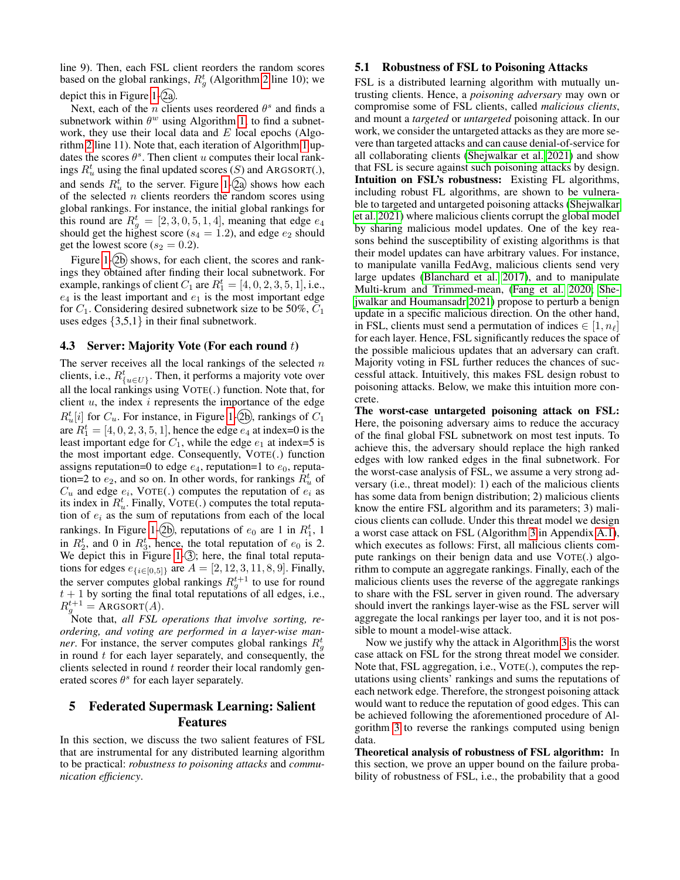line 9). Then, each FSL client reorders the random scores based on the global rankings,  $R_g^t$  (Algorithm [2](#page-2-1) line 10); we depict this in Figure [1-](#page-4-0) $(2a)$ .

Next, each of the *n* clients uses reordered  $\theta^s$  and finds a subnetwork within  $\theta^w$  using Algorithm [1;](#page-2-0) to find a subnetwork, they use their local data and  $E$  local epochs (Algorithm [2](#page-2-1) line 11). Note that, each iteration of Algorithm [1](#page-2-0) updates the scores  $\theta^s$ . Then client u computes their local rankings  $R_u^t$  using the final updated scores  $(S)$  and ARGSORT(.), and sends  $R_u^t$  to the server. Figure [1-](#page-4-0)(2a) shows how each of the selected  $n$  clients reorders the random scores using global rankings. For instance, the initial global rankings for this round are  $R_g^t = [2, 3, 0, 5, 1, 4]$ , meaning that edge  $e_4$ should get the highest score ( $s_4 = 1.2$ ), and edge  $e_2$  should get the lowest score ( $s_2 = 0.2$ ).

Figure [1-](#page-4-0) $(2b)$  shows, for each client, the scores and rankings they obtained after finding their local subnetwork. For example, rankings of client  $C_1$  are  $R_1^t = [4, 0, 2, 3, 5, 1]$ , i.e.,  $e_4$  is the least important and  $e_1$  is the most important edge for  $C_1$ . Considering desired subnetwork size to be 50%,  $C_1$ uses edges  $\{3,5,1\}$  in their final subnetwork.

#### <span id="page-3-1"></span>4.3 Server: Majority Vote (For each round  $t$ )

The server receives all the local rankings of the selected  $n$ clients, i.e.,  $R_{\{u \in U\}}^t$ . Then, it performs a majority vote over all the local rankings using VOTE(.) function. Note that, for client  $u$ , the index  $i$  represents the importance of the edge  $R_u^t[i]$  for  $C_u$ . For instance, in Figure [1-](#page-4-0)(2b), rankings of  $C_1$ are  $R_1^t = [4, 0, 2, 3, 5, 1]$ , hence the edge  $e_4$  at index=0 is the least important edge for  $C_1$ , while the edge  $e_1$  at index=5 is the most important edge. Consequently, VOTE(.) function assigns reputation=0 to edge  $e_4$ , reputation=1 to  $e_0$ , reputation=2 to  $e_2$ , and so on. In other words, for rankings  $\tilde{R}_u^t$  of  $C_u$  and edge  $e_i$ , VOTE(.) computes the reputation of  $e_i$  as its index in  $R_u^t$ . Finally, VOTE(.) computes the total reputation of  $e_i$  as the sum of reputations from each of the local rankings. In Figure [1-](#page-4-0)(2b), reputations of  $e_0$  are 1 in  $R_1^t$ , 1 in  $R_2^t$ , and 0 in  $R_3^t$ , hence, the total reputation of  $e_0$  is 2. We depict this in Figure [1-](#page-4-0) $(3)$ ; here, the final total reputations for edges  $e_{i\in[0,5]}$  are  $A = [2, 12, 3, 11, 8, 9]$ . Finally, the server computes global rankings  $R_g^{t+1}$  to use for round  $t + 1$  by sorting the final total reputations of all edges, i.e.,  $R_g^{t+1}$  = ARGSORT(A).

Note that, *all FSL operations that involve sorting, reordering, and voting are performed in a layer-wise manner*. For instance, the server computes global rankings  $R_g^t$ in round  $t$  for each layer separately, and consequently, the clients selected in round  $t$  reorder their local randomly generated scores  $\theta^s$  for each layer separately.

# <span id="page-3-0"></span>5 Federated Supermask Learning: Salient Features

In this section, we discuss the two salient features of FSL that are instrumental for any distributed learning algorithm to be practical: *robustness to poisoning attacks* and *communication efficiency*.

#### 5.1 Robustness of FSL to Poisoning Attacks

FSL is a distributed learning algorithm with mutually untrusting clients. Hence, a *poisoning adversary* may own or compromise some of FSL clients, called *malicious clients*, and mount a *targeted* or *untargeted* poisoning attack. In our work, we consider the untargeted attacks as they are more severe than targeted attacks and can cause denial-of-service for all collaborating clients [\(Shejwalkar et al. 2021\)](#page-8-9) and show that FSL is secure against such poisoning attacks by design. Intuition on FSL's robustness: Existing FL algorithms, including robust FL algorithms, are shown to be vulnerable to targeted and untargeted poisoning attacks [\(Shejwalkar](#page-8-9) [et al. 2021\)](#page-8-9) where malicious clients corrupt the global model by sharing malicious model updates. One of the key reasons behind the susceptibility of existing algorithms is that their model updates can have arbitrary values. For instance, to manipulate vanilla FedAvg, malicious clients send very large updates [\(Blanchard et al. 2017\)](#page-7-1), and to manipulate Multi-krum and Trimmed-mean, [\(Fang et al. 2020;](#page-7-9) [She](#page-8-8)[jwalkar and Houmansadr 2021\)](#page-8-8) propose to perturb a benign update in a specific malicious direction. On the other hand, in FSL, clients must send a permutation of indices  $\in [1, n_\ell]$ for each layer. Hence, FSL significantly reduces the space of the possible malicious updates that an adversary can craft. Majority voting in FSL further reduces the chances of successful attack. Intuitively, this makes FSL design robust to poisoning attacks. Below, we make this intuition more concrete.

The worst-case untargeted poisoning attack on FSL: Here, the poisoning adversary aims to reduce the accuracy of the final global FSL subnetwork on most test inputs. To achieve this, the adversary should replace the high ranked edges with low ranked edges in the final subnetwork. For the worst-case analysis of FSL, we assume a very strong adversary (i.e., threat model): 1) each of the malicious clients has some data from benign distribution; 2) malicious clients know the entire FSL algorithm and its parameters; 3) malicious clients can collude. Under this threat model we design a worst case attack on FSL (Algorithm [3](#page-8-10) in Appendix [A.1\)](#page-8-11), which executes as follows: First, all malicious clients compute rankings on their benign data and use VOTE(.) algorithm to compute an aggregate rankings. Finally, each of the malicious clients uses the reverse of the aggregate rankings to share with the FSL server in given round. The adversary should invert the rankings layer-wise as the FSL server will aggregate the local rankings per layer too, and it is not possible to mount a model-wise attack.

Now we justify why the attack in Algorithm [3](#page-8-10) is the worst case attack on FSL for the strong threat model we consider. Note that, FSL aggregation, i.e., VOTE(.), computes the reputations using clients' rankings and sums the reputations of each network edge. Therefore, the strongest poisoning attack would want to reduce the reputation of good edges. This can be achieved following the aforementioned procedure of Algorithm [3](#page-8-10) to reverse the rankings computed using benign data.

Theoretical analysis of robustness of FSL algorithm: In this section, we prove an upper bound on the failure probability of robustness of FSL, i.e., the probability that a good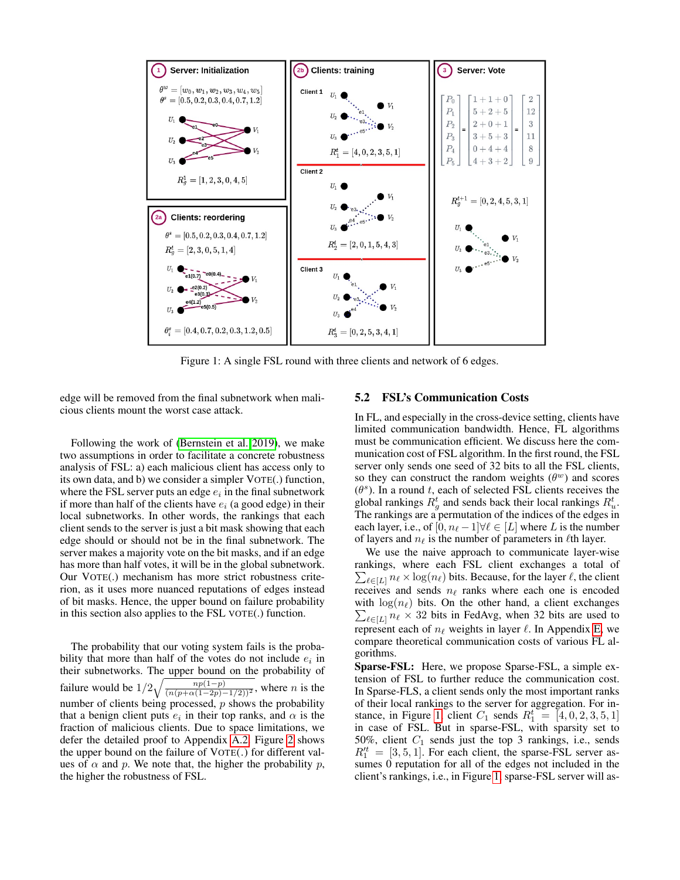<span id="page-4-0"></span>

Figure 1: A single FSL round with three clients and network of 6 edges.

edge will be removed from the final subnetwork when malicious clients mount the worst case attack.

Following the work of [\(Bernstein et al. 2019\)](#page-7-2), we make two assumptions in order to facilitate a concrete robustness analysis of FSL: a) each malicious client has access only to its own data, and b) we consider a simpler VOTE(.) function, where the FSL server puts an edge  $e_i$  in the final subnetwork if more than half of the clients have  $e_i$  (a good edge) in their local subnetworks. In other words, the rankings that each client sends to the server is just a bit mask showing that each edge should or should not be in the final subnetwork. The server makes a majority vote on the bit masks, and if an edge has more than half votes, it will be in the global subnetwork. Our VOTE(.) mechanism has more strict robustness criterion, as it uses more nuanced reputations of edges instead of bit masks. Hence, the upper bound on failure probability in this section also applies to the FSL VOTE(.) function.

The probability that our voting system fails is the probability that more than half of the votes do not include  $e_i$  in their subnetworks. The upper bound on the probability of failure would be  $1/2\sqrt{\frac{np(1-p)}{(n(p+\alpha(1-2p)-1/2))^2}}$ , where n is the number of clients being processed,  $p$  shows the probability that a benign client puts  $e_i$  in their top ranks, and  $\alpha$  is the fraction of malicious clients. Due to space limitations, we defer the detailed proof to Appendix [A.2.](#page-8-12) Figure [2](#page-5-0) shows the upper bound on the failure of VOTE(.) for different values of  $\alpha$  and  $p$ . We note that, the higher the probability  $p$ , the higher the robustness of FSL.

#### <span id="page-4-1"></span>5.2 FSL's Communication Costs

In FL, and especially in the cross-device setting, clients have limited communication bandwidth. Hence, FL algorithms must be communication efficient. We discuss here the communication cost of FSL algorithm. In the first round, the FSL server only sends one seed of 32 bits to all the FSL clients, so they can construct the random weights  $(\theta^w)$  and scores  $(\theta^s)$ . In a round t, each of selected FSL clients receives the global rankings  $R_g^t$  and sends back their local rankings  $R_u^t$ . The rankings are a permutation of the indices of the edges in each layer, i.e., of  $[0, n_\ell-1] \forall \ell \in [L]$  where L is the number of layers and  $n_\ell$  is the number of parameters in  $\ell$ th layer.

We use the naive approach to communicate layer-wise rankings, where each FSL client exchanges a total of  $\sum_{\ell \in [L]} n_{\ell} \times \log(n_{\ell})$  bits. Because, for the layer  $\ell$ , the client receives and sends  $n_\ell$  ranks where each one is encoded with  $\log(n_\ell)$  bits. On the other hand, a client exchanges  $\sum_{\ell \in [L]} n_{\ell} \times 32$  bits in FedAvg, when 32 bits are used to represent each of  $n_\ell$  weights in layer  $\ell$ . In Appendix [E,](#page-12-0) we compare theoretical communication costs of various FL algorithms.

Sparse-FSL: Here, we propose Sparse-FSL, a simple extension of FSL to further reduce the communication cost. In Sparse-FLS, a client sends only the most important ranks of their local rankings to the server for aggregation. For in-stance, in Figure [1,](#page-4-0) client  $C_1$  sends  $R_1^t = \begin{bmatrix} 4, 0, 2, 3, 5, 1 \end{bmatrix}$ in case of FSL. But in sparse-FSL, with sparsity set to 50%, client  $C_1$  sends just the top 3 rankings, i.e., sends  $R_1'^t = [3, 5, 1]$ . For each client, the sparse-FSL server assumes 0 reputation for all of the edges not included in the client's rankings, i.e., in Figure [1,](#page-4-0) sparse-FSL server will as-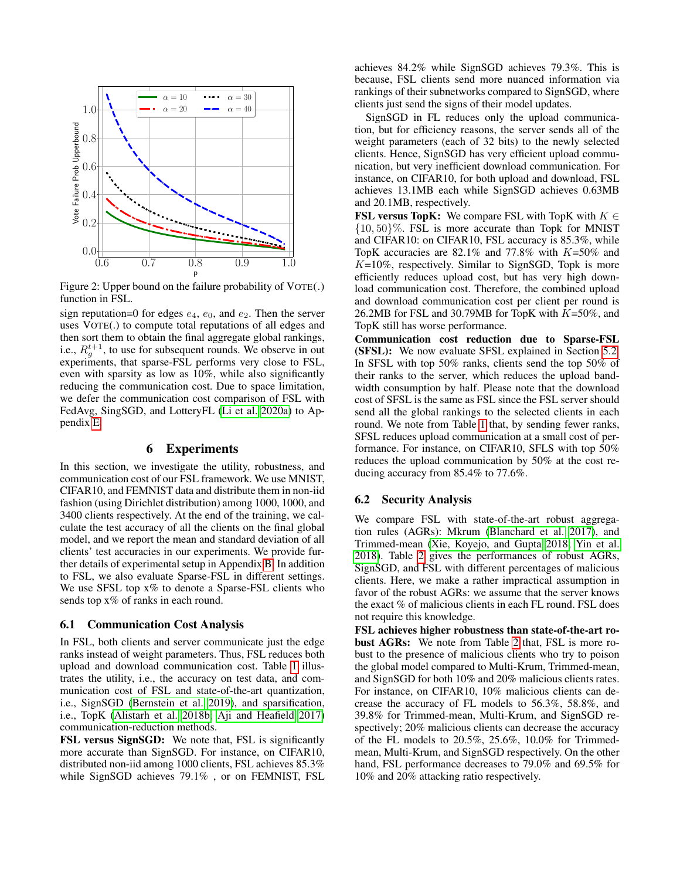<span id="page-5-0"></span>

Figure 2: Upper bound on the failure probability of VOTE(.) function in FSL.

sign reputation=0 for edges  $e_4$ ,  $e_0$ , and  $e_2$ . Then the server uses VOTE(.) to compute total reputations of all edges and then sort them to obtain the final aggregate global rankings, i.e.,  $R_g^{t+1}$ , to use for subsequent rounds. We observe in out experiments, that sparse-FSL performs very close to FSL, even with sparsity as low as 10%, while also significantly reducing the communication cost. Due to space limitation, we defer the communication cost comparison of FSL with FedAvg, SingSGD, and LotteryFL [\(Li et al. 2020a\)](#page-8-13) to Appendix [E.](#page-12-0)

#### 6 Experiments

In this section, we investigate the utility, robustness, and communication cost of our FSL framework. We use MNIST, CIFAR10, and FEMNIST data and distribute them in non-iid fashion (using Dirichlet distribution) among 1000, 1000, and 3400 clients respectively. At the end of the training, we calculate the test accuracy of all the clients on the final global model, and we report the mean and standard deviation of all clients' test accuracies in our experiments. We provide further details of experimental setup in Appendix [B.](#page-9-0) In addition to FSL, we also evaluate Sparse-FSL in different settings. We use SFSL top  $x\%$  to denote a Sparse-FSL clients who sends top  $x\%$  of ranks in each round.

#### <span id="page-5-1"></span>6.1 Communication Cost Analysis

In FSL, both clients and server communicate just the edge ranks instead of weight parameters. Thus, FSL reduces both upload and download communication cost. Table [1](#page-6-1) illustrates the utility, i.e., the accuracy on test data, and communication cost of FSL and state-of-the-art quantization, i.e., SignSGD [\(Bernstein et al. 2019\)](#page-7-2), and sparsification, i.e., TopK [\(Alistarh et al. 2018b;](#page-7-13) [Aji and Heafield 2017\)](#page-6-0) communication-reduction methods.

FSL versus SignSGD: We note that, FSL is significantly more accurate than SignSGD. For instance, on CIFAR10, distributed non-iid among 1000 clients, FSL achieves 85.3% while SignSGD achieves 79.1% , or on FEMNIST, FSL

achieves 84.2% while SignSGD achieves 79.3%. This is because, FSL clients send more nuanced information via rankings of their subnetworks compared to SignSGD, where clients just send the signs of their model updates.

SignSGD in FL reduces only the upload communication, but for efficiency reasons, the server sends all of the weight parameters (each of 32 bits) to the newly selected clients. Hence, SignSGD has very efficient upload communication, but very inefficient download communication. For instance, on CIFAR10, for both upload and download, FSL achieves 13.1MB each while SignSGD achieves 0.63MB and 20.1MB, respectively.

**FSL versus TopK:** We compare FSL with TopK with  $K \in$  $\{10, 50\}\%$ . FSL is more accurate than Topk for MNIST and CIFAR10: on CIFAR10, FSL accuracy is 85.3%, while TopK accuracies are  $82.1\%$  and  $77.8\%$  with  $K=50\%$  and  $K=10\%$ , respectively. Similar to SignSGD, Topk is more efficiently reduces upload cost, but has very high download communication cost. Therefore, the combined upload and download communication cost per client per round is 26.2MB for FSL and 30.79MB for TopK with  $K=50\%$ , and TopK still has worse performance.

Communication cost reduction due to Sparse-FSL (SFSL): We now evaluate SFSL explained in Section [5.2.](#page-4-1) In SFSL with top 50% ranks, clients send the top 50% of their ranks to the server, which reduces the upload bandwidth consumption by half. Please note that the download cost of SFSL is the same as FSL since the FSL server should send all the global rankings to the selected clients in each round. We note from Table [1](#page-6-1) that, by sending fewer ranks, SFSL reduces upload communication at a small cost of performance. For instance, on CIFAR10, SFLS with top 50% reduces the upload communication by 50% at the cost reducing accuracy from 85.4% to 77.6%.

# 6.2 Security Analysis

We compare FSL with state-of-the-art robust aggregation rules (AGRs): Mkrum [\(Blanchard et al. 2017\)](#page-7-1), and Trimmed-mean [\(Xie, Koyejo, and Gupta 2018;](#page-8-4) [Yin et al.](#page-8-5) [2018\)](#page-8-5). Table [2](#page-7-14) gives the performances of robust AGRs, SignSGD, and FSL with different percentages of malicious clients. Here, we make a rather impractical assumption in favor of the robust AGRs: we assume that the server knows the exact % of malicious clients in each FL round. FSL does not require this knowledge.

FSL achieves higher robustness than state-of-the-art robust AGRs: We note from Table [2](#page-7-14) that, FSL is more robust to the presence of malicious clients who try to poison the global model compared to Multi-Krum, Trimmed-mean, and SignSGD for both 10% and 20% malicious clients rates. For instance, on CIFAR10, 10% malicious clients can decrease the accuracy of FL models to 56.3%, 58.8%, and 39.8% for Trimmed-mean, Multi-Krum, and SignSGD respectively; 20% malicious clients can decrease the accuracy of the FL models to 20.5%, 25.6%, 10.0% for Trimmedmean, Multi-Krum, and SignSGD respectively. On the other hand, FSL performance decreases to 79.0% and 69.5% for 10% and 20% attacking ratio respectively.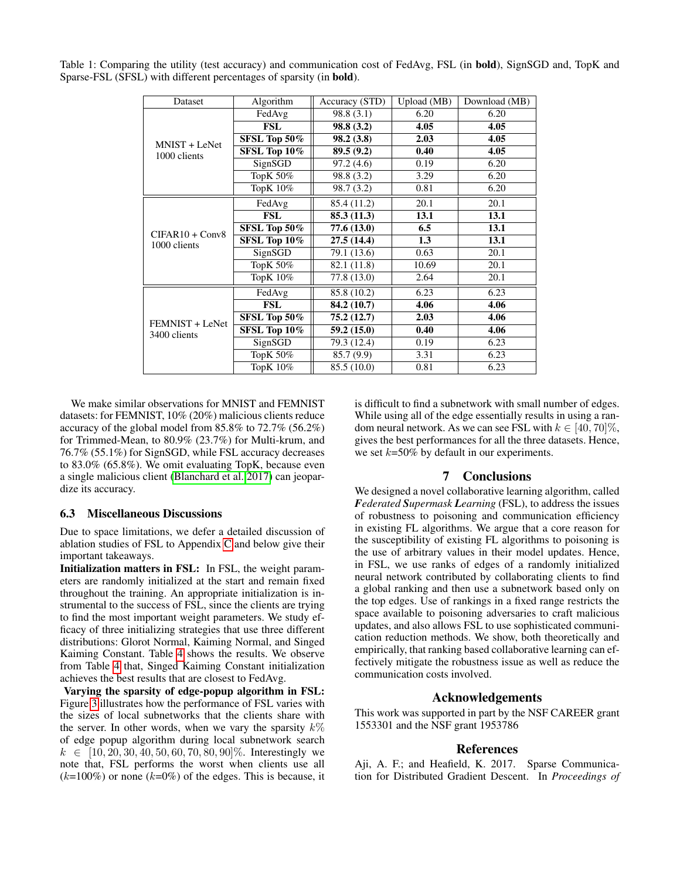<span id="page-6-1"></span>Table 1: Comparing the utility (test accuracy) and communication cost of FedAvg, FSL (in bold), SignSGD and, TopK and Sparse-FSL (SFSL) with different percentages of sparsity (in bold).

| Dataset                           | Algorithm    | Accuracy (STD) | Upload (MB) | Download (MB) |  |
|-----------------------------------|--------------|----------------|-------------|---------------|--|
|                                   | FedAvg       | 98.8(3.1)      | 6.20        | 6.20          |  |
| MNIST + LeNet<br>1000 clients     | <b>FSL</b>   | 98.8 (3.2)     | 4.05        | 4.05          |  |
|                                   | SFSL Top 50% | 98.2 (3.8)     | 2.03        | 4.05          |  |
|                                   | SFSL Top 10% | 89.5 (9.2)     | 0.40        | 4.05          |  |
|                                   | SignSGD      | 97.2(4.6)      | 0.19        | 6.20          |  |
|                                   | ТорК 50%     | 98.8 (3.2)     | 3.29        | 6.20          |  |
|                                   | ТорК 10%     | 98.7 (3.2)     | 0.81        | 6.20          |  |
| $CIFAR10 + Conv8$<br>1000 clients | FedAvg       | 85.4 (11.2)    | 20.1        | 20.1          |  |
|                                   | FSL          | 85.3(11.3)     | 13.1        | 13.1          |  |
|                                   | SFSL Top 50% | 77.6(13.0)     | 6.5         | 13.1          |  |
|                                   | SFSL Top 10% | 27.5(14.4)     | 1.3         | 13.1          |  |
|                                   | SignSGD      | 79.1 (13.6)    | 0.63        | 20.1          |  |
|                                   | ТорК 50%     | 82.1 (11.8)    | 10.69       | 20.1          |  |
|                                   | ТорК 10%     | 77.8 (13.0)    | 2.64        | 20.1          |  |
|                                   | FedAvg       | 85.8 (10.2)    | 6.23        | 6.23          |  |
| FEMNIST + LeNet<br>3400 clients   | <b>FSL</b>   | 84.2 (10.7)    | 4.06        | 4.06          |  |
|                                   | SFSL Top 50% | 75.2(12.7)     | 2.03        | 4.06          |  |
|                                   | SFSL Top 10% | 59.2(15.0)     | 0.40        | 4.06          |  |
|                                   | SignSGD      | 79.3 (12.4)    | 0.19        | 6.23          |  |
|                                   | ТорК 50%     | 85.7 (9.9)     | 3.31        | 6.23          |  |
|                                   | TopK 10%     | 85.5 (10.0)    | 0.81        | 6.23          |  |

We make similar observations for MNIST and FEMNIST datasets: for FEMNIST, 10% (20%) malicious clients reduce accuracy of the global model from 85.8% to 72.7% (56.2%) for Trimmed-Mean, to 80.9% (23.7%) for Multi-krum, and 76.7% (55.1%) for SignSGD, while FSL accuracy decreases to 83.0% (65.8%). We omit evaluating TopK, because even a single malicious client [\(Blanchard et al. 2017\)](#page-7-1) can jeopardize its accuracy.

### 6.3 Miscellaneous Discussions

Due to space limitations, we defer a detailed discussion of ablation studies of FSL to Appendix [C](#page-11-2) and below give their important takeaways.

Initialization matters in FSL: In FSL, the weight parameters are randomly initialized at the start and remain fixed throughout the training. An appropriate initialization is instrumental to the success of FSL, since the clients are trying to find the most important weight parameters. We study efficacy of three initializing strategies that use three different distributions: Glorot Normal, Kaiming Normal, and Singed Kaiming Constant. Table [4](#page-11-3) shows the results. We observe from Table [4](#page-11-3) that, Singed Kaiming Constant initialization achieves the best results that are closest to FedAvg.

Varying the sparsity of edge-popup algorithm in FSL: Figure [3](#page-12-1) illustrates how the performance of FSL varies with the sizes of local subnetworks that the clients share with the server. In other words, when we vary the sparsity  $k\%$ of edge popup algorithm during local subnetwork search  $k \in [10, 20, 30, 40, 50, 60, 70, 80, 90]\%$ . Interestingly we note that, FSL performs the worst when clients use all  $(k=100\%)$  or none  $(k=0\%)$  of the edges. This is because, it is difficult to find a subnetwork with small number of edges. While using all of the edge essentially results in using a random neural network. As we can see FSL with  $k \in [40, 70]\%$ , gives the best performances for all the three datasets. Hence, we set  $k=50\%$  by default in our experiments.

# 7 Conclusions

We designed a novel collaborative learning algorithm, called *Federated Supermask Learning* (FSL), to address the issues of robustness to poisoning and communication efficiency in existing FL algorithms. We argue that a core reason for the susceptibility of existing FL algorithms to poisoning is the use of arbitrary values in their model updates. Hence, in FSL, we use ranks of edges of a randomly initialized neural network contributed by collaborating clients to find a global ranking and then use a subnetwork based only on the top edges. Use of rankings in a fixed range restricts the space available to poisoning adversaries to craft malicious updates, and also allows FSL to use sophisticated communication reduction methods. We show, both theoretically and empirically, that ranking based collaborative learning can effectively mitigate the robustness issue as well as reduce the communication costs involved.

### Acknowledgements

This work was supported in part by the NSF CAREER grant 1553301 and the NSF grant 1953786

# **References**

<span id="page-6-0"></span>Aji, A. F.; and Heafield, K. 2017. Sparse Communication for Distributed Gradient Descent. In *Proceedings of*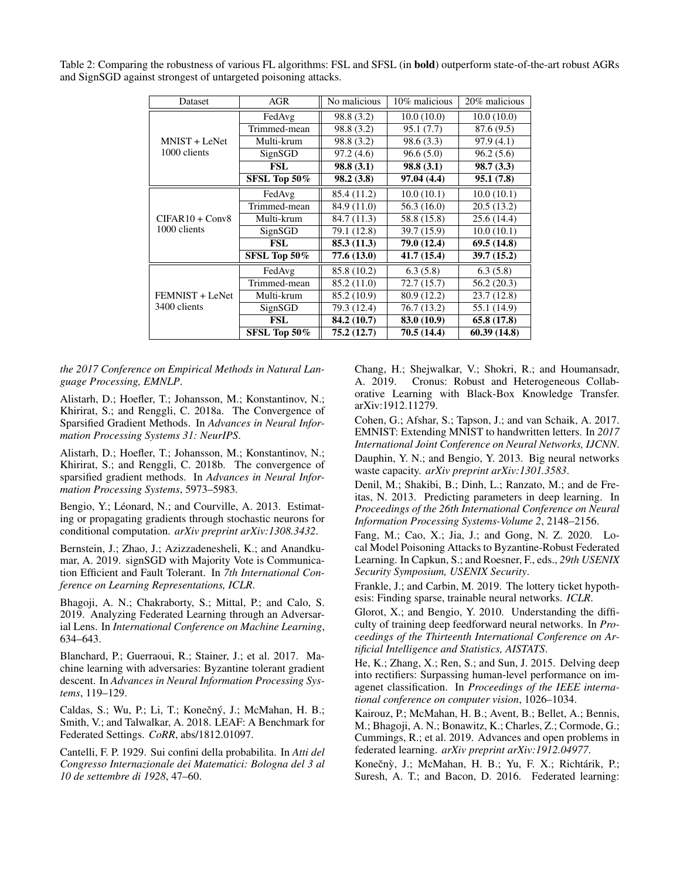| Dataset           | <b>AGR</b>   | No malicious | 10% malicious | 20% malicious |  |
|-------------------|--------------|--------------|---------------|---------------|--|
|                   | FedAvg       | 98.8 (3.2)   | 10.0(10.0)    | 10.0(10.0)    |  |
|                   | Trimmed-mean | 98.8 (3.2)   | 95.1(7.7)     | 87.6 (9.5)    |  |
| MNIST + LeNet     | Multi-krum   | 98.8 (3.2)   | 98.6(3.3)     | 97.9(4.1)     |  |
| 1000 clients      | SignSGD      | 97.2(4.6)    | 96.6(5.0)     | 96.2(5.6)     |  |
|                   | FSL          | 98.8(3.1)    | 98.8(3.1)     | 98.7(3.3)     |  |
|                   | SFSL Top 50% | 98.2 (3.8)   | 97.04 (4.4)   | 95.1(7.8)     |  |
| $CIFAR10 + Conv8$ | FedAvg       | 85.4 (11.2)  | 10.0(10.1)    | 10.0(10.1)    |  |
|                   | Trimmed-mean | 84.9 (11.0)  | 56.3 (16.0)   | 20.5(13.2)    |  |
|                   | Multi-krum   | 84.7 (11.3)  | 58.8 (15.8)   | 25.6(14.4)    |  |
| 1000 clients      | SignSGD      | 79.1 (12.8)  | 39.7 (15.9)   | 10.0(10.1)    |  |
|                   | <b>FSL</b>   | 85.3(11.3)   | 79.0 (12.4)   | 69.5(14.8)    |  |
|                   | SFSL Top 50% | 77.6 (13.0)  | 41.7(15.4)    | 39.7(15.2)    |  |
|                   | FedAvg       | 85.8 (10.2)  | 6.3(5.8)      | 6.3(5.8)      |  |
| FEMNIST + LeNet   | Trimmed-mean | 85.2 (11.0)  | 72.7 (15.7)   | 56.2(20.3)    |  |
|                   | Multi-krum   | 85.2 (10.9)  | 80.9 (12.2)   | 23.7(12.8)    |  |
| 3400 clients      | SignSGD      | 79.3 (12.4)  | 76.7 (13.2)   | 55.1 (14.9)   |  |
|                   | <b>FSL</b>   | 84.2 (10.7)  | 83.0 (10.9)   | 65.8(17.8)    |  |
|                   | SFSL Top 50% | 75.2 (12.7)  | 70.5 (14.4)   | 60.39(14.8)   |  |

<span id="page-7-14"></span>Table 2: Comparing the robustness of various FL algorithms: FSL and SFSL (in bold) outperform state-of-the-art robust AGRs and SignSGD against strongest of untargeted poisoning attacks.

*the 2017 Conference on Empirical Methods in Natural Language Processing, EMNLP*.

<span id="page-7-3"></span>Alistarh, D.; Hoefler, T.; Johansson, M.; Konstantinov, N.; Khirirat, S.; and Renggli, C. 2018a. The Convergence of Sparsified Gradient Methods. In *Advances in Neural Information Processing Systems 31: NeurIPS*.

<span id="page-7-13"></span>Alistarh, D.; Hoefler, T.; Johansson, M.; Konstantinov, N.; Khirirat, S.; and Renggli, C. 2018b. The convergence of sparsified gradient methods. In *Advances in Neural Information Processing Systems*, 5973–5983.

<span id="page-7-11"></span>Bengio, Y.; Léonard, N.; and Courville, A. 2013. Estimating or propagating gradients through stochastic neurons for conditional computation. *arXiv preprint arXiv:1308.3432*.

<span id="page-7-2"></span>Bernstein, J.; Zhao, J.; Azizzadenesheli, K.; and Anandkumar, A. 2019. signSGD with Majority Vote is Communication Efficient and Fault Tolerant. In *7th International Conference on Learning Representations, ICLR*.

<span id="page-7-8"></span>Bhagoji, A. N.; Chakraborty, S.; Mittal, P.; and Calo, S. 2019. Analyzing Federated Learning through an Adversarial Lens. In *International Conference on Machine Learning*, 634–643.

<span id="page-7-1"></span>Blanchard, P.; Guerraoui, R.; Stainer, J.; et al. 2017. Machine learning with adversaries: Byzantine tolerant gradient descent. In *Advances in Neural Information Processing Systems*, 119–129.

<span id="page-7-16"></span>Caldas, S.; Wu, P.; Li, T.; Konečný, J.; McMahan, H. B.; Smith, V.; and Talwalkar, A. 2018. LEAF: A Benchmark for Federated Settings. *CoRR*, abs/1812.01097.

<span id="page-7-15"></span>Cantelli, F. P. 1929. Sui confini della probabilita. In *Atti del Congresso Internazionale dei Matematici: Bologna del 3 al 10 de settembre di 1928*, 47–60.

<span id="page-7-7"></span>Chang, H.; Shejwalkar, V.; Shokri, R.; and Houmansadr, A. 2019. Cronus: Robust and Heterogeneous Collaborative Learning with Black-Box Knowledge Transfer. arXiv:1912.11279.

<span id="page-7-17"></span>Cohen, G.; Afshar, S.; Tapson, J.; and van Schaik, A. 2017. EMNIST: Extending MNIST to handwritten letters. In *2017 International Joint Conference on Neural Networks, IJCNN*. Dauphin, Y. N.; and Bengio, Y. 2013. Big neural networks waste capacity. *arXiv preprint arXiv:1301.3583*.

<span id="page-7-5"></span><span id="page-7-4"></span>Denil, M.; Shakibi, B.; Dinh, L.; Ranzato, M.; and de Freitas, N. 2013. Predicting parameters in deep learning. In *Proceedings of the 26th International Conference on Neural Information Processing Systems-Volume 2*, 2148–2156.

<span id="page-7-9"></span>Fang, M.; Cao, X.; Jia, J.; and Gong, N. Z. 2020. Local Model Poisoning Attacks to Byzantine-Robust Federated Learning. In Capkun, S.; and Roesner, F., eds., *29th USENIX Security Symposium, USENIX Security*.

<span id="page-7-6"></span>Frankle, J.; and Carbin, M. 2019. The lottery ticket hypothesis: Finding sparse, trainable neural networks. *ICLR*.

<span id="page-7-18"></span>Glorot, X.; and Bengio, Y. 2010. Understanding the difficulty of training deep feedforward neural networks. In *Proceedings of the Thirteenth International Conference on Artificial Intelligence and Statistics, AISTATS*.

<span id="page-7-12"></span>He, K.; Zhang, X.; Ren, S.; and Sun, J. 2015. Delving deep into rectifiers: Surpassing human-level performance on imagenet classification. In *Proceedings of the IEEE international conference on computer vision*, 1026–1034.

<span id="page-7-0"></span>Kairouz, P.; McMahan, H. B.; Avent, B.; Bellet, A.; Bennis, M.; Bhagoji, A. N.; Bonawitz, K.; Charles, Z.; Cormode, G.; Cummings, R.; et al. 2019. Advances and open problems in federated learning. *arXiv preprint arXiv:1912.04977*.

<span id="page-7-10"></span>Konečný, J.; McMahan, H. B.; Yu, F. X.; Richtárik, P.; Suresh, A. T.; and Bacon, D. 2016. Federated learning: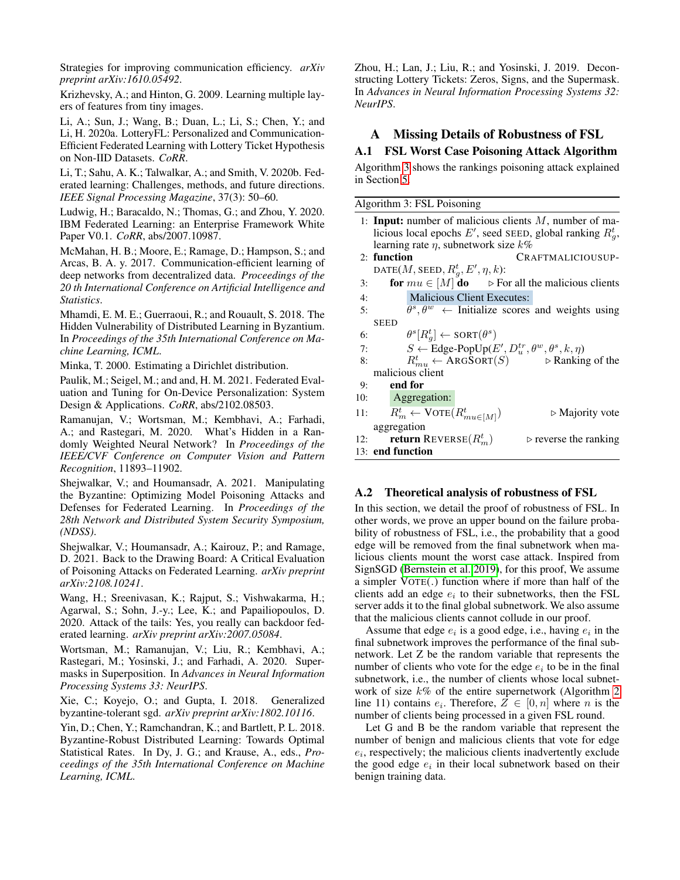Strategies for improving communication efficiency. *arXiv preprint arXiv:1610.05492*.

<span id="page-8-14"></span>Krizhevsky, A.; and Hinton, G. 2009. Learning multiple layers of features from tiny images.

<span id="page-8-13"></span>Li, A.; Sun, J.; Wang, B.; Duan, L.; Li, S.; Chen, Y.; and Li, H. 2020a. LotteryFL: Personalized and Communication-Efficient Federated Learning with Lottery Ticket Hypothesis on Non-IID Datasets. *CoRR*.

<span id="page-8-0"></span>Li, T.; Sahu, A. K.; Talwalkar, A.; and Smith, V. 2020b. Federated learning: Challenges, methods, and future directions. *IEEE Signal Processing Magazine*, 37(3): 50–60.

<span id="page-8-16"></span>Ludwig, H.; Baracaldo, N.; Thomas, G.; and Zhou, Y. 2020. IBM Federated Learning: an Enterprise Framework White Paper V0.1. *CoRR*, abs/2007.10987.

<span id="page-8-3"></span>McMahan, H. B.; Moore, E.; Ramage, D.; Hampson, S.; and Arcas, B. A. y. 2017. Communication-efficient learning of deep networks from decentralized data. *Proceedings of the 20 th International Conference on Artificial Intelligence and Statistics*.

<span id="page-8-6"></span>Mhamdi, E. M. E.; Guerraoui, R.; and Rouault, S. 2018. The Hidden Vulnerability of Distributed Learning in Byzantium. In *Proceedings of the 35th International Conference on Machine Learning, ICML*.

<span id="page-8-15"></span>Minka, T. 2000. Estimating a Dirichlet distribution.

<span id="page-8-17"></span>Paulik, M.; Seigel, M.; and and, H. M. 2021. Federated Evaluation and Tuning for On-Device Personalization: System Design & Applications. *CoRR*, abs/2102.08503.

<span id="page-8-2"></span>Ramanujan, V.; Wortsman, M.; Kembhavi, A.; Farhadi, A.; and Rastegari, M. 2020. What's Hidden in a Randomly Weighted Neural Network? In *Proceedings of the IEEE/CVF Conference on Computer Vision and Pattern Recognition*, 11893–11902.

<span id="page-8-8"></span>Shejwalkar, V.; and Houmansadr, A. 2021. Manipulating the Byzantine: Optimizing Model Poisoning Attacks and Defenses for Federated Learning. In *Proceedings of the 28th Network and Distributed System Security Symposium, (NDSS)*.

<span id="page-8-9"></span>Shejwalkar, V.; Houmansadr, A.; Kairouz, P.; and Ramage, D. 2021. Back to the Drawing Board: A Critical Evaluation of Poisoning Attacks on Federated Learning. *arXiv preprint arXiv:2108.10241*.

<span id="page-8-7"></span>Wang, H.; Sreenivasan, K.; Rajput, S.; Vishwakarma, H.; Agarwal, S.; Sohn, J.-y.; Lee, K.; and Papailiopoulos, D. 2020. Attack of the tails: Yes, you really can backdoor federated learning. *arXiv preprint arXiv:2007.05084*.

<span id="page-8-18"></span>Wortsman, M.; Ramanujan, V.; Liu, R.; Kembhavi, A.; Rastegari, M.; Yosinski, J.; and Farhadi, A. 2020. Supermasks in Superposition. In *Advances in Neural Information Processing Systems 33: NeurIPS*.

<span id="page-8-4"></span>Xie, C.; Koyejo, O.; and Gupta, I. 2018. Generalized byzantine-tolerant sgd. *arXiv preprint arXiv:1802.10116*.

<span id="page-8-5"></span>Yin, D.; Chen, Y.; Ramchandran, K.; and Bartlett, P. L. 2018. Byzantine-Robust Distributed Learning: Towards Optimal Statistical Rates. In Dy, J. G.; and Krause, A., eds., *Proceedings of the 35th International Conference on Machine Learning, ICML*.

<span id="page-8-1"></span>Zhou, H.; Lan, J.; Liu, R.; and Yosinski, J. 2019. Deconstructing Lottery Tickets: Zeros, Signs, and the Supermask. In *Advances in Neural Information Processing Systems 32: NeurIPS*.

# A Missing Details of Robustness of FSL

### <span id="page-8-11"></span>A.1 FSL Worst Case Poisoning Attack Algorithm

Algorithm [3](#page-8-10) shows the rankings poisoning attack explained in Section [5.](#page-3-0)

<span id="page-8-10"></span>Algorithm 3: FSL Poisoning

|     | 1: <b>Input:</b> number of malicious clients $M$ , number of ma-                 |
|-----|----------------------------------------------------------------------------------|
|     | licious local epochs E', seed SEED, global ranking $R_a^t$ ,                     |
|     | learning rate $\eta$ , subnetwork size $k\%$                                     |
|     | 2: function<br>CRAFTMALICIOUSUP-                                                 |
|     | DATE(M, SEED, $R_q^t$ , E', $\eta$ , k):                                         |
| 3:  | for $mu \in [M]$ do $\Rightarrow$ For all the malicious clients                  |
| 4:  | <b>Malicious Client Executes:</b>                                                |
| 5:  | $\overline{\theta^s, \theta^w}$ Initialize scores and weights using              |
|     | <b>SEED</b>                                                                      |
| 6:  | $\theta^s[R^t_a] \leftarrow \text{SORT}(\theta^s)$                               |
| 7:  | $S \leftarrow$ Edge-PopUp(E', $D_u^{tr}, \theta^w, \theta^s, k, \eta$ )          |
| 8:  | $R_{mu}^t \leftarrow \text{ARGSORT}(S)$ $\triangleright$ Ranking of the          |
|     | malicious client                                                                 |
| 9:  | end for                                                                          |
|     | 10: Aggregation:                                                                 |
| 11: | $R_m^t \leftarrow \text{VOTE}(R_{mu\in[M]}^t)$<br>$\triangleright$ Majority vote |
|     | aggregation                                                                      |
| 12: | <b>return</b> REVERSE $(R_m^t)$<br>$\triangleright$ reverse the ranking          |
|     | 13: end function                                                                 |

### <span id="page-8-12"></span>A.2 Theoretical analysis of robustness of FSL

In this section, we detail the proof of robustness of FSL. In other words, we prove an upper bound on the failure probability of robustness of FSL, i.e., the probability that a good edge will be removed from the final subnetwork when malicious clients mount the worst case attack. Inspired from SignSGD [\(Bernstein et al. 2019\)](#page-7-2), for this proof, We assume a simpler VOTE(.) function where if more than half of the clients add an edge  $e_i$  to their subnetworks, then the FSL server adds it to the final global subnetwork. We also assume that the malicious clients cannot collude in our proof.

Assume that edge  $e_i$  is a good edge, i.e., having  $e_i$  in the final subnetwork improves the performance of the final subnetwork. Let Z be the random variable that represents the number of clients who vote for the edge  $e_i$  to be in the final subnetwork, i.e., the number of clients whose local subnetwork of size  $k\%$  of the entire supernetwork (Algorithm [2](#page-2-1) line 11) contains  $e_i$ . Therefore,  $Z \in [0, n]$  where n is the number of clients being processed in a given FSL round.

Let G and B be the random variable that represent the number of benign and malicious clients that vote for edge  $e_i$ , respectively; the malicious clients inadvertently exclude the good edge  $e_i$  in their local subnetwork based on their benign training data.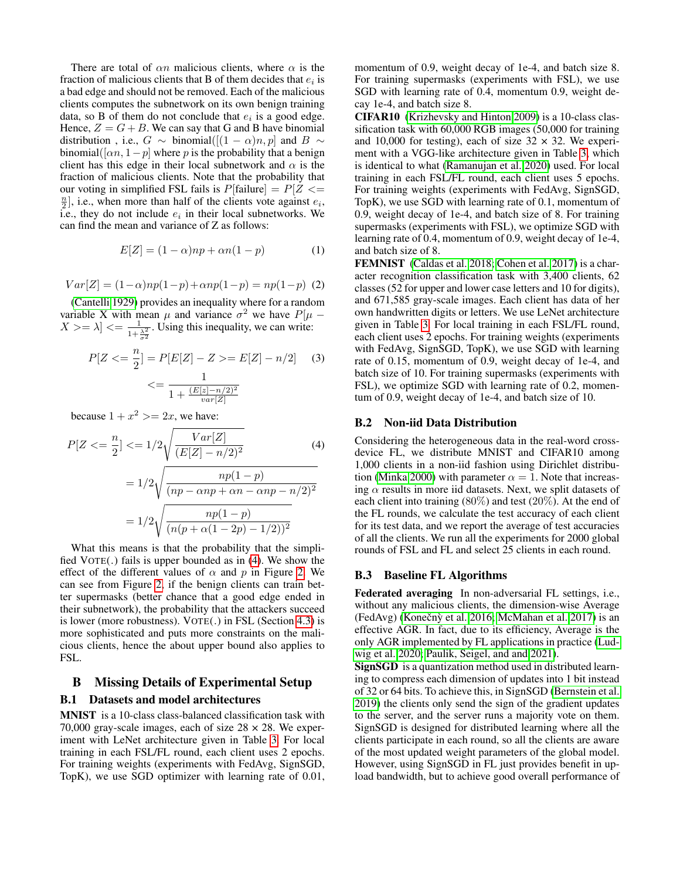There are total of  $\alpha n$  malicious clients, where  $\alpha$  is the fraction of malicious clients that B of them decides that  $e_i$  is a bad edge and should not be removed. Each of the malicious clients computes the subnetwork on its own benign training data, so B of them do not conclude that  $e_i$  is a good edge. Hence,  $Z = G + B$ . We can say that G and B have binomial distribution , i.e.,  $G \sim \text{binomial}([1-\alpha)n, p]$  and  $B \sim$ binomial([ $\alpha n$ , 1 – p] where p is the probability that a benign client has this edge in their local subnetwork and  $\alpha$  is the fraction of malicious clients. Note that the probability that our voting in simplified FSL fails is  $P[\text{failure}] = P[Z \leq$  $\frac{n}{2}$ , i.e., when more than half of the clients vote against  $e_i$ , i.e., they do not include  $e_i$  in their local subnetworks. We can find the mean and variance of Z as follows:

$$
E[Z] = (1 - \alpha)np + \alpha n(1 - p) \tag{1}
$$

$$
Var[Z] = (1 - \alpha)np(1 - p) + \alpha np(1 - p) = np(1 - p)
$$
 (2)

[\(Cantelli 1929\)](#page-7-15) provides an inequality where for a random variable X with mean  $\mu$  and variance  $\sigma^2$  we have  $P[\mu -]$  $X >= \lambda] \le \frac{1}{1 + \frac{\lambda^2}{\sigma^2}}$ . Using this inequality, we can write:

$$
P[Z \leq \frac{n}{2}] = P[E[Z] - Z \geq E[Z] - n/2] \tag{3}
$$

$$
\leq \frac{1}{1 + \frac{(E[z] - n/2)^2}{var[Z]}}
$$

because  $1 + x^2 > = 2x$ , we have:

$$
P[Z \leq \frac{n}{2}] \leq 1/2 \sqrt{\frac{Var[Z]}{(E[Z] - n/2)^2}}
$$
(4)  
=  $1/2 \sqrt{\frac{np(1-p)}{(np - \alpha np + \alpha n - \alpha np - n/2)^2}}$   
=  $1/2 \sqrt{\frac{np(1-p)}{(n(p + \alpha(1 - 2p) - 1/2))^2}}$ 

What this means is that the probability that the simplified VOTE(.) fails is upper bounded as in [\(4\)](#page-9-1). We show the effect of the different values of  $\alpha$  and p in Figure [2.](#page-5-0) We can see from Figure [2,](#page-5-0) if the benign clients can train better supermasks (better chance that a good edge ended in their subnetwork), the probability that the attackers succeed is lower (more robustness). VOTE(.) in FSL (Section [4.3\)](#page-3-1) is more sophisticated and puts more constraints on the malicious clients, hence the about upper bound also applies to FSL.

# <span id="page-9-0"></span>B Missing Details of Experimental Setup B.1 Datasets and model architectures

MNIST is a 10-class class-balanced classification task with 70,000 gray-scale images, each of size  $28 \times 28$ . We experiment with LeNet architecture given in Table [3.](#page-10-0) For local training in each FSL/FL round, each client uses 2 epochs. For training weights (experiments with FedAvg, SignSGD, TopK), we use SGD optimizer with learning rate of 0.01, momentum of 0.9, weight decay of 1e-4, and batch size 8. For training supermasks (experiments with FSL), we use SGD with learning rate of 0.4, momentum 0.9, weight decay 1e-4, and batch size 8.

CIFAR10 [\(Krizhevsky and Hinton 2009\)](#page-8-14) is a 10-class classification task with 60,000 RGB images (50,000 for training and 10,000 for testing), each of size  $32 \times 32$ . We experiment with a VGG-like architecture given in Table [3,](#page-10-0) which is identical to what [\(Ramanujan et al. 2020\)](#page-8-2) used. For local training in each FSL/FL round, each client uses 5 epochs. For training weights (experiments with FedAvg, SignSGD, TopK), we use SGD with learning rate of 0.1, momentum of 0.9, weight decay of 1e-4, and batch size of 8. For training supermasks (experiments with FSL), we optimize SGD with learning rate of 0.4, momentum of 0.9, weight decay of 1e-4, and batch size of 8.

FEMNIST [\(Caldas et al. 2018;](#page-7-16) [Cohen et al. 2017\)](#page-7-17) is a character recognition classification task with 3,400 clients, 62 classes (52 for upper and lower case letters and 10 for digits), and 671,585 gray-scale images. Each client has data of her own handwritten digits or letters. We use LeNet architecture given in Table [3.](#page-10-0) For local training in each FSL/FL round, each client uses 2 epochs. For training weights (experiments with FedAvg, SignSGD, TopK), we use SGD with learning rate of 0.15, momentum of 0.9, weight decay of 1e-4, and batch size of 10. For training supermasks (experiments with FSL), we optimize SGD with learning rate of 0.2, momentum of 0.9, weight decay of 1e-4, and batch size of 10.

#### B.2 Non-iid Data Distribution

<span id="page-9-1"></span>Considering the heterogeneous data in the real-word crossdevice FL, we distribute MNIST and CIFAR10 among 1,000 clients in a non-iid fashion using Dirichlet distribu-tion [\(Minka 2000\)](#page-8-15) with parameter  $\alpha = 1$ . Note that increasing  $\alpha$  results in more iid datasets. Next, we split datasets of each client into training (80%) and test (20%). At the end of the FL rounds, we calculate the test accuracy of each client for its test data, and we report the average of test accuracies of all the clients. We run all the experiments for 2000 global rounds of FSL and FL and select 25 clients in each round.

#### B.3 Baseline FL Algorithms

Federated averaging In non-adversarial FL settings, i.e., without any malicious clients, the dimension-wise Average (FedAvg) (Konečnỳ et al. [2016;](#page-7-10) [McMahan et al. 2017\)](#page-8-3) is an effective AGR. In fact, due to its efficiency, Average is the only AGR implemented by FL applications in practice [\(Lud](#page-8-16)[wig et al. 2020;](#page-8-16) [Paulik, Seigel, and and 2021\)](#page-8-17).

SignSGD is a quantization method used in distributed learning to compress each dimension of updates into 1 bit instead of 32 or 64 bits. To achieve this, in SignSGD [\(Bernstein et al.](#page-7-2) [2019\)](#page-7-2) the clients only send the sign of the gradient updates to the server, and the server runs a majority vote on them. SignSGD is designed for distributed learning where all the clients participate in each round, so all the clients are aware of the most updated weight parameters of the global model. However, using SignSGD in FL just provides benefit in upload bandwidth, but to achieve good overall performance of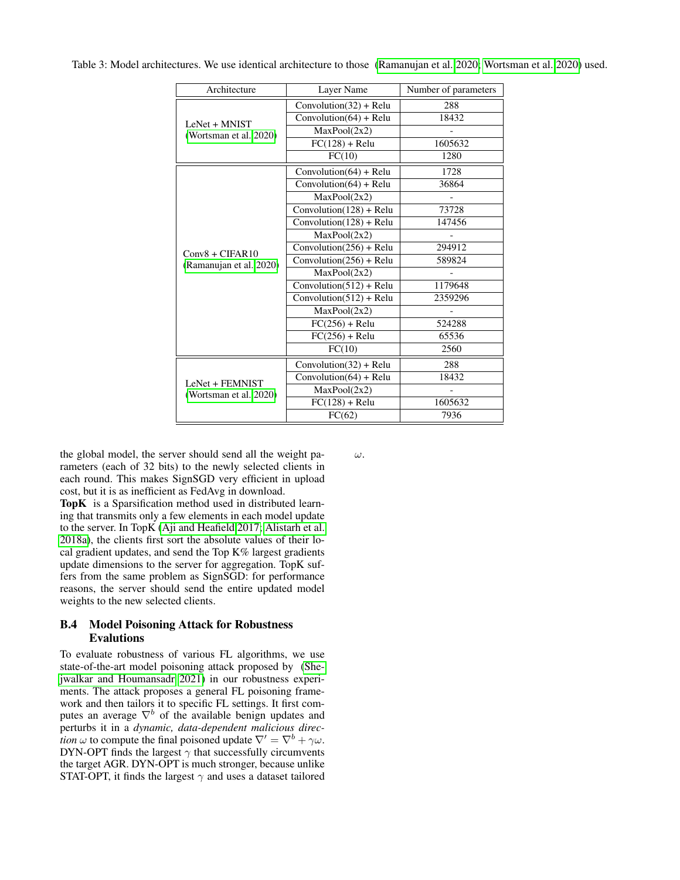| Architecture                            | Laver Name                 | Number of parameters |  |
|-----------------------------------------|----------------------------|----------------------|--|
|                                         | $Convolution(32) + Relu$   | 288                  |  |
| LeNet + MNIST<br>(Wortsman et al. 2020) | Convolution $(64)$ + Relu  | 18432                |  |
|                                         | MaxPool(2x2)               |                      |  |
|                                         | $FC(128) + Relu$           | 1605632              |  |
|                                         | FC(10)                     | 1280                 |  |
|                                         | $Convolution(64) + Relu$   | 1728                 |  |
|                                         | Convolution $(64)$ + Relu  | 36864                |  |
|                                         | MaxPool(2x2)               |                      |  |
|                                         | Convolution(128) + Relu    | 73728                |  |
|                                         | $Convolution(128) + Relu$  | 147456               |  |
|                                         | MaxPool(2x2)               |                      |  |
| $Conv8 + CIFAR10$                       | $Convolution(256) + Relu$  | 294912               |  |
| (Ramanujan et al. 2020)                 | Convolution $(256)$ + Relu | 589824               |  |
|                                         | MaxPool(2x2)               |                      |  |
|                                         | Convolution $(512)$ + Relu | 1179648              |  |
|                                         | $Convolution(512) + Relu$  | 2359296              |  |
|                                         | MaxPool(2x2)               |                      |  |
|                                         | $FC(256) + Relu$           | 524288               |  |
|                                         | $FC(256) + Relu$           | 65536                |  |
|                                         | FC(10)                     | 2560                 |  |
|                                         | Convolution $(32)$ + Relu  | 288                  |  |
| LeNet + FEMNIST                         | Convolution $(64)$ + Relu  | 18432                |  |
| (Wortsman et al. 2020)                  | MaxPool(2x2)               |                      |  |
|                                         | $FC(128) + Relu$           | 1605632              |  |
|                                         | FC(62)                     | 7936                 |  |

<span id="page-10-0"></span>Table 3: Model architectures. We use identical architecture to those [\(Ramanujan et al. 2020;](#page-8-2) [Wortsman et al. 2020\)](#page-8-18) used.

the global model, the server should send all the weight parameters (each of 32 bits) to the newly selected clients in each round. This makes SignSGD very efficient in upload cost, but it is as inefficient as FedAvg in download.

TopK is a Sparsification method used in distributed learning that transmits only a few elements in each model update to the server. In TopK [\(Aji and Heafield 2017;](#page-6-0) [Alistarh et al.](#page-7-3) [2018a\)](#page-7-3), the clients first sort the absolute values of their local gradient updates, and send the Top K% largest gradients update dimensions to the server for aggregation. TopK suffers from the same problem as SignSGD: for performance reasons, the server should send the entire updated model weights to the new selected clients.

### B.4 Model Poisoning Attack for Robustness Evalutions

To evaluate robustness of various FL algorithms, we use state-of-the-art model poisoning attack proposed by [\(She](#page-8-8)[jwalkar and Houmansadr 2021\)](#page-8-8) in our robustness experiments. The attack proposes a general FL poisoning framework and then tailors it to specific FL settings. It first computes an average  $\nabla^b$  of the available benign updates and perturbs it in a *dynamic, data-dependent malicious direction*  $\omega$  to compute the final poisoned update  $\nabla' = \nabla^b + \gamma \omega$ . DYN-OPT finds the largest  $\gamma$  that successfully circumvents the target AGR. DYN-OPT is much stronger, because unlike STAT-OPT, it finds the largest  $\gamma$  and uses a dataset tailored ω.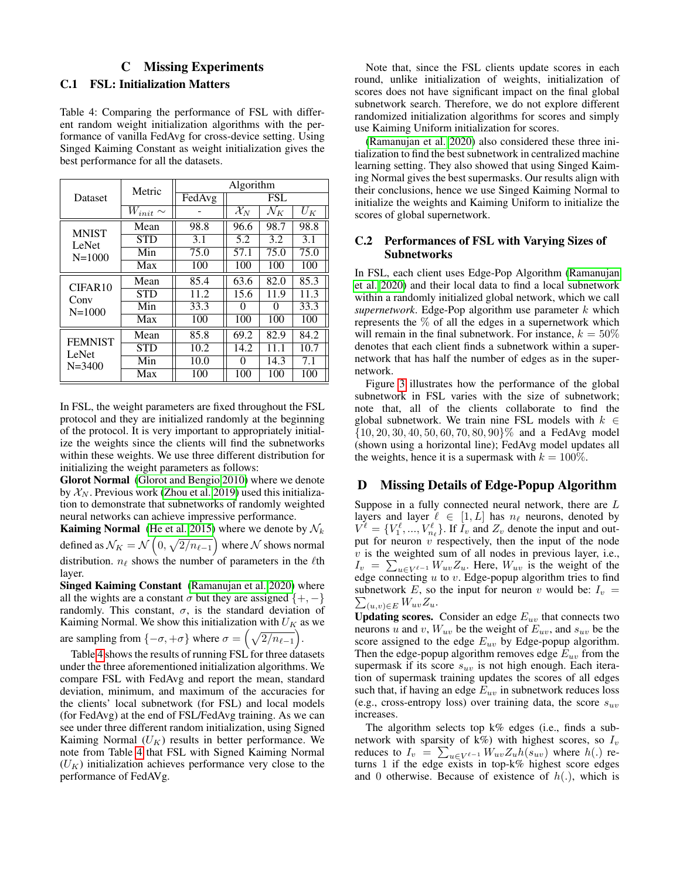# C Missing Experiments

### <span id="page-11-2"></span><span id="page-11-1"></span>C.1 FSL: Initialization Matters

<span id="page-11-3"></span>Table 4: Comparing the performance of FSL with different random weight initialization algorithms with the performance of vanilla FedAvg for cross-device setting. Using Singed Kaiming Constant as weight initialization gives the best performance for all the datasets.

| Dataset                               | Metric          | Algorithm |                            |                 |       |
|---------------------------------------|-----------------|-----------|----------------------------|-----------------|-------|
|                                       |                 | FedAvg    | <b>FSL</b>                 |                 |       |
|                                       | $W_{init} \sim$ |           | $\overline{\mathcal{X}}_N$ | $\mathcal{N}_K$ | $U_K$ |
| <b>MNIST</b><br>LeNet<br>$N = 1000$   | Mean            | 98.8      | 96.6                       | 98.7            | 98.8  |
|                                       | <b>STD</b>      | 3.1       | 5.2                        | 3.2             | 3.1   |
|                                       | Min             | 75.0      | 57.1                       | 75.0            | 75.0  |
|                                       | Max             | 100       | 100                        | 100             | 100   |
| CIFAR10<br>Conv<br>$N = 1000$         | Mean            | 85.4      | 63.6                       | 82.0            | 85.3  |
|                                       | <b>STD</b>      | 11.2      | 15.6                       | 11.9            | 11.3  |
|                                       | Min             | 33.3      |                            | 0               | 33.3  |
|                                       | Max             | 100       | 100                        | 100             | 100   |
| <b>FEMNIST</b><br>LeNet<br>$N = 3400$ | Mean            | 85.8      | 69.2                       | 82.9            | 84.2  |
|                                       | <b>STD</b>      | 10.2      | 14.2                       | 11.1            | 10.7  |
|                                       | Min             | 10.0      | 0                          | 14.3            | 7.1   |
|                                       | Max             | 100       | 100                        | 100             | 100   |

In FSL, the weight parameters are fixed throughout the FSL protocol and they are initialized randomly at the beginning of the protocol. It is very important to appropriately initialize the weights since the clients will find the subnetworks within these weights. We use three different distribution for initializing the weight parameters as follows:

Glorot Normal [\(Glorot and Bengio 2010\)](#page-7-18) where we denote by  $X_N$ . Previous work [\(Zhou et al. 2019\)](#page-8-1) used this initialization to demonstrate that subnetworks of randomly weighted neural networks can achieve impressive performance.

**Kaiming Normal** [\(He et al. 2015\)](#page-7-12) where we denote by  $\mathcal{N}_k$ defined as  $\mathcal{N}_K = \mathcal{N}\left(0,\sqrt{2/n_{\ell-1}}\right)$  where  $\mathcal N$  shows normal distribution.  $n_\ell$  shows the number of parameters in the  $\ell$ th layer.

Singed Kaiming Constant [\(Ramanujan et al. 2020\)](#page-8-2) where all the wights are a constant  $\sigma$  but they are assigned  $\{+, -\}$ randomly. This constant,  $\sigma$ , is the standard deviation of Kaiming Normal. We show this initialization with  $U_K$  as we

are sampling from  $\{-\sigma, +\sigma\}$  where  $\sigma = \left(\sqrt{\frac{2}{n_{\ell-1}}}\right)$ .

Table [4](#page-11-3) shows the results of running FSL for three datasets under the three aforementioned initialization algorithms. We compare FSL with FedAvg and report the mean, standard deviation, minimum, and maximum of the accuracies for the clients' local subnetwork (for FSL) and local models (for FedAvg) at the end of FSL/FedAvg training. As we can see under three different random initialization, using Signed Kaiming Normal  $(U_K)$  results in better performance. We note from Table [4](#page-11-3) that FSL with Signed Kaiming Normal  $(U_K)$  initialization achieves performance very close to the performance of FedAVg.

Note that, since the FSL clients update scores in each round, unlike initialization of weights, initialization of scores does not have significant impact on the final global subnetwork search. Therefore, we do not explore different randomized initialization algorithms for scores and simply use Kaiming Uniform initialization for scores.

[\(Ramanujan et al. 2020\)](#page-8-2) also considered these three initialization to find the best subnetwork in centralized machine learning setting. They also showed that using Singed Kaiming Normal gives the best supermasks. Our results align with their conclusions, hence we use Singed Kaiming Normal to initialize the weights and Kaiming Uniform to initialize the scores of global supernetwork.

### C.2 Performances of FSL with Varying Sizes of Subnetworks

In FSL, each client uses Edge-Pop Algorithm [\(Ramanujan](#page-8-2) [et al. 2020\)](#page-8-2) and their local data to find a local subnetwork within a randomly initialized global network, which we call  $supernetwork.$  Edge-Pop algorithm use parameter  $k$  which represents the % of all the edges in a supernetwork which will remain in the final subnetwork. For instance,  $k = 50\%$ denotes that each client finds a subnetwork within a supernetwork that has half the number of edges as in the supernetwork.

Figure [3](#page-12-1) illustrates how the performance of the global subnetwork in FSL varies with the size of subnetwork; note that, all of the clients collaborate to find the global subnetwork. We train nine FSL models with  $k \in$ {10, 20, 30, 40, 50, 60, 70, 80, 90}% and a FedAvg model (shown using a horizontal line); FedAvg model updates all the weights, hence it is a supermask with  $k = 100\%$ .

# <span id="page-11-0"></span>D Missing Details of Edge-Popup Algorithm

Suppose in a fully connected neural network, there are  $L$ layers and layer  $\ell \in [1, L]$  has  $n_{\ell}$  neurons, denoted by  $V^{\ell} = \{V_1^{\ell}, ..., V_{n_{\ell}}^{\ell}\}\.$  If  $I_v$  and  $Z_v$  denote the input and output for neuron  $v$  respectively, then the input of the node  $v$  is the weighted sum of all nodes in previous layer, i.e.,  $I_v = \sum_{u \in V^{\ell-1}} W_{uv} Z_u$ . Here,  $W_{uv}$  is the weight of the edge connecting  $u$  to  $v$ . Edge-popup algorithm tries to find  $\sum_{(u,v)\in E}W_{uv}Z_u.$ subnetwork E, so the input for neuron v would be:  $I_v$  =

**Updating scores.** Consider an edge  $E_{uv}$  that connects two neurons u and v,  $W_{uv}$  be the weight of  $E_{uv}$ , and  $s_{uv}$  be the score assigned to the edge  $E_{uv}$  by Edge-popup algorithm. Then the edge-popup algorithm removes edge  $E_{uv}$  from the supermask if its score  $s_{uv}$  is not high enough. Each iteration of supermask training updates the scores of all edges such that, if having an edge  $E_{uv}$  in subnetwork reduces loss (e.g., cross-entropy loss) over training data, the score  $s_{uv}$ increases.

The algorithm selects top k% edges (i.e., finds a subnetwork with sparsity of  $k\%$ ) with highest scores, so  $I_v$ reduces to  $I_v = \sum_{u \in V^{\ell-1}} W_{uv} Z_u h(s_{uv})$  where  $h(.)$  returns 1 if the edge exists in top-k% highest score edges and 0 otherwise. Because of existence of  $h(.)$ , which is